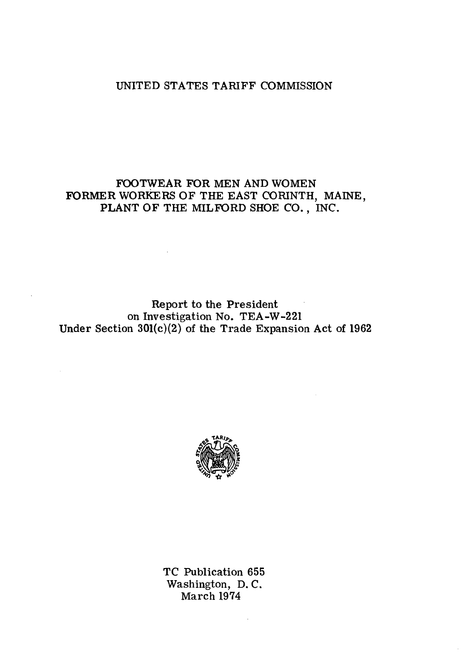### UNITED STATES TARIFF COMMISSION

## FOOTWEAR FOR MEN AND WOMEN FORMER WORKERS OF THE EAST CORINTH, MAINE, PLANT OF THE MILFORD SHOE CO., INC.

# Report to the President on Investigation No. TEA-W-221 Under Section  $301(c)(2)$  of the Trade Expansion Act of 1962



TC Publication 655 Washington, D. C. March 1974

 $\sim$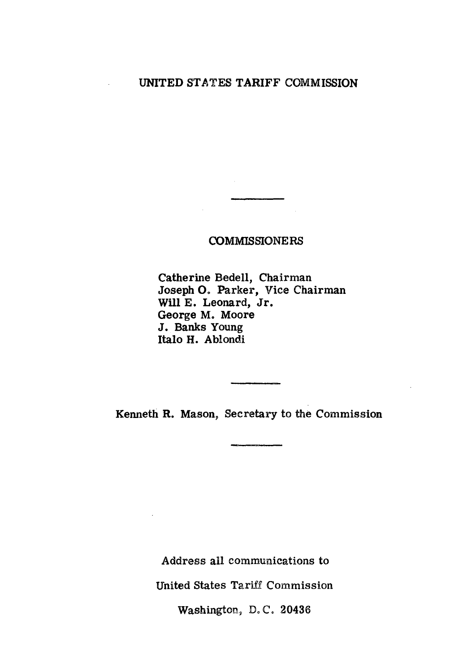## UNITED STATES TARIFF COMMISSION

COMMISSIONERS

Catherine Bedell, Chairman Joseph 0. Parker, Vice Chairman Will E. Leonard, Jr. George M. Moore J. Banks Young Italo H. Ablondi

Kenneth R. Mason, Secretary to the Commission

Address all communications to

 $\mathcal{L}^{\mathcal{L}}$ 

United States Tariff Commission

Washington, D. C. 20436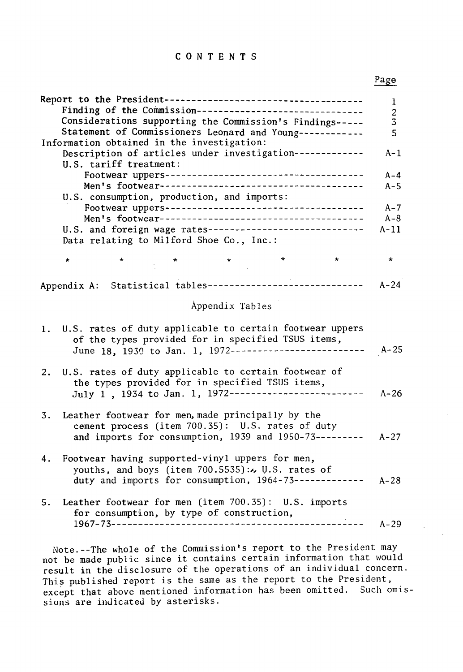#### C 0 N T E N T S

#### Page

|                                                                                                                                                                                        | $\mathbf{1}$   |
|----------------------------------------------------------------------------------------------------------------------------------------------------------------------------------------|----------------|
| Finding of the Commission-------------------------------                                                                                                                               | $\overline{c}$ |
| Considerations supporting the Commission's Findings-----                                                                                                                               | $\overline{3}$ |
| Statement of Commissioners Leonard and Young------------<br>Information obtained in the investigation:                                                                                 | 5              |
| Description of articles under investigation-------------                                                                                                                               | A-1            |
| U.S. tariff treatment:                                                                                                                                                                 |                |
|                                                                                                                                                                                        | $A - 4$        |
|                                                                                                                                                                                        | $A - 5$        |
| U.S. consumption, production, and imports:                                                                                                                                             |                |
|                                                                                                                                                                                        | $A - 7$        |
|                                                                                                                                                                                        | $A - 8$        |
| U.S. and foreign wage rates------------------------------                                                                                                                              | $A-11$         |
| Data relating to Milford Shoe Co., Inc.:                                                                                                                                               |                |
| $\star$<br>$\star$<br>$\star$                                                                                                                                                          | $\star$        |
| Appendix A: Statistical tables-----------------------------                                                                                                                            | $A - 24$       |
| Appendix Tables                                                                                                                                                                        |                |
| U.S. rates of duty applicable to certain footwear uppers<br>1.<br>of the types provided for in specified TSUS items,<br>June 18, 1939 to Jan. 1, 1972--------------------<br>$- - - -$ | $A - 25$       |
| U.S. rates of duty applicable to certain footwear of<br>2.<br>the types provided for in specified TSUS items,<br>July 1, 1934 to Jan. 1, 1972--------------------------                | $A - 26$       |
| Leather footwear for men, made principally by the<br>3.<br>cement process (item 700.35): U.S. rates of duty<br>and imports for consumption, 1939 and 1950-73---------                  | $A-27$         |
| Footwear having supported-vinyl uppers for men,<br>4.<br>youths, and boys (item 700.5535): U.S. rates of<br>duty and imports for consumption, 1964-73-------------                     | $A-28$         |
| Leather footwear for men (item 700.35): U.S. imports<br>5.<br>for consumption, by type of construction,<br>1967-73-------------------------------                                      | $A-29$         |

Note.--The whole of the Commission's report to the President may not be made public since it contains certain information that would result in the disclosure of the operations of an individual concern. This published report is the same as the report to the President, except that above mentioned information has been omitted. Such omissions are indicated by asterisks.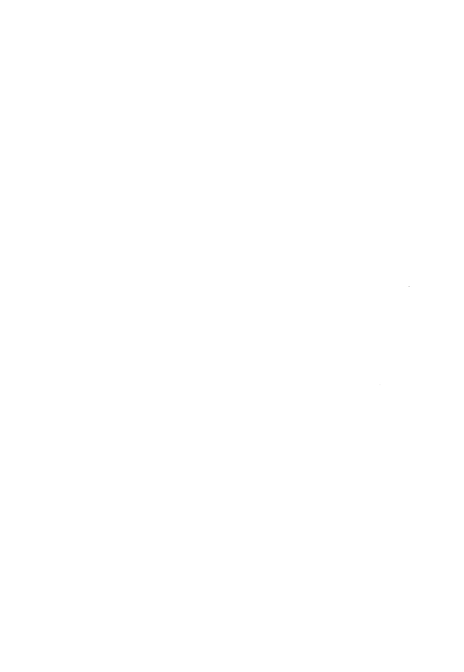$\label{eq:2.1} \frac{1}{\sqrt{2}}\int_{0}^{\infty}\frac{1}{\sqrt{2\pi}}\left(\frac{1}{\sqrt{2\pi}}\right)^{2}d\mu\left(\frac{1}{\sqrt{2\pi}}\right) \frac{d\mu}{\sqrt{2\pi}}\,.$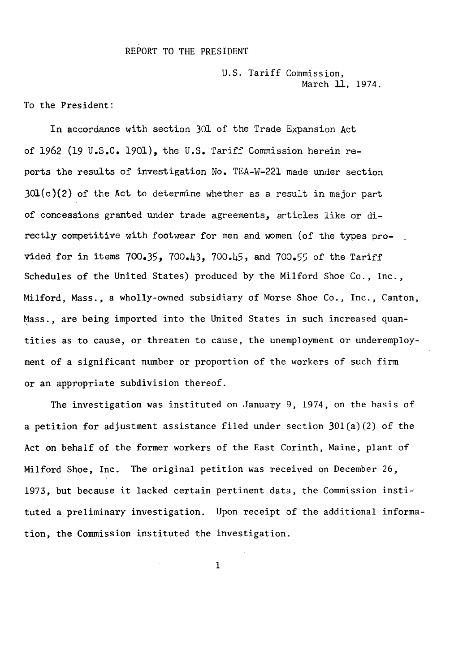#### REPORT TO THE PRESIDENT

U.S. Tariff Commission, March 11, 1974.

To the President:

In accordance with section 301 of the Trade Expansion Act of 1962 (19 u.s.c. 1901), the U.S. Tariff Commission herein reports the results of investigation No. TEA-W-221 made under section  $301(c)(2)$  of the Act to determine whether as a result in major part of concessions granted under trade agreements, articles like or directly competitive with footwear for men and women (of the types provided for in items  $700.35$ ,  $700.43$ ,  $700.45$ , and  $700.55$  of the Tariff Schedules of the United States) produced by the Milford Shoe Co., Inc., Milford, Mass., a wholly-owned subsidiary of Morse Shoe Co., Inc., Canton, Mass., are being imported into the United States in such increased quantities as to cause, or threaten to cause, the unemployment or underemployment of a significant number or proportion of the workers of such firm or an appropriate subdivision thereof.

The investigation was instituted on January 9, 1974, on the basis of a petition for adjustment assistance filed under section  $301(a)(2)$  of the Act on behalf of the former workers of the East Corinth, Maine, plant of Milford Shoe, Inc. The original petition was received on December 26, 1973, but because it lacked certain pertinent data, the Commission insti~ tuted a preliminary investigation. Upon receipt of the additional information, the Commission instituted the investigation.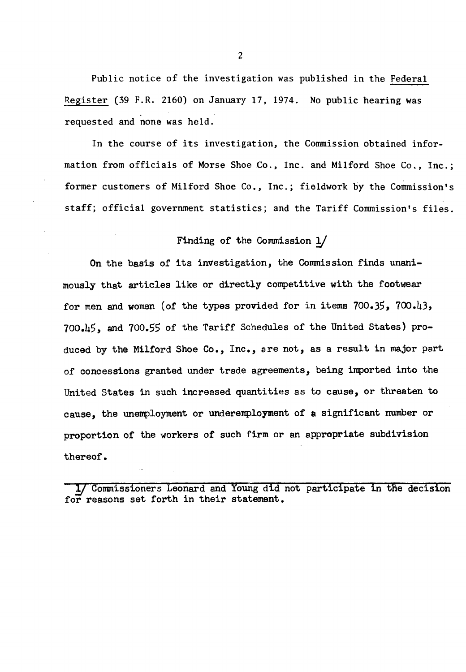Public notice of the investigation was published in the Federal Register (39 F.R. 2160) on January 17, 1974. No public hearing was requested and none was held.

In the course of its investigation, the Commission obtained information from officials of Morse Shoe Co., Inc. and Milford Shoe Co., Inc.; former customers of Milford Shoe Co., Inc.; fieldwork by the Commission's staff; official government statistics; and the Tariff Commission's files.

#### Finding of the Commission *!J*

On the basis of its investigation, the Commission finds unanimously that articles like or directly competitive with the footwear for men and women (of the types provided for in items  $700.35$ ,  $700.43$ , 700.45, and 700.55 of the Tariff Schedules of the United States) produced by the Milford Shoe Co., Inc., are not, as a result in major part of concessions granted under trade agreements, being imported into the United States in such increased quantities as to cause, or threaten to cause, the unemployment or underemployment of a significant number or proportion of the workers of such firm or an appropriate subdivision thereof.

Commissioners Leonard and Young did not participate in the decision for reasons set forth in their statement.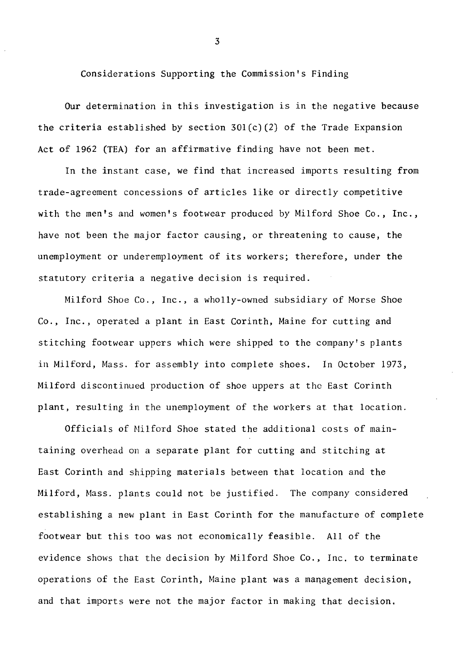Considerations Supporting the Commission's Finding

Our determination in this investigation is in the negative because the criteria established by section  $301(c)(2)$  of the Trade Expansion Act of 1962 (TEA) for an affirmative finding have not been met.

In the instant case, we find that increased imports resulting from trade-agreement concessions of articles like or directly competitive with the men's and women's footwear produced by Milford Shoe Co., Inc., have not been the major factor causing, or threatening to cause, the unemployment or underemployment of its workers; therefore, under the statutory criteria a negative decision is required.

Milford Shoe Co., Inc., a wholly-owned subsidiary of Morse Shoe Co., Inc., operated a plant in East Corinth, Maine for cutting and stitching footwear uppers which were shipped to the company's plants in Milford, Mass. for assembly into complete shoes. In October 1973, Milford discontinued production of shoe uppers at the East Corinth plant, resulting in the unemployment of the workers at that location.

Officials of Milford Shoe stated the additional costs of maintaining overhead on a separate plant for cutting and stitching at East Corinth and shipping materials between that location and the Milford, Mass. plants could not be justified. The company considered establishing a new plant in East Corinth for the manufacture of complete footwear but this too was not economically feasible. All of the evidence shows that the decision by Milford Shoe Co., Inc. to terminate operations of the East Corinth, Maine plant was a management decision, and that imports were not the major factor in making that decision.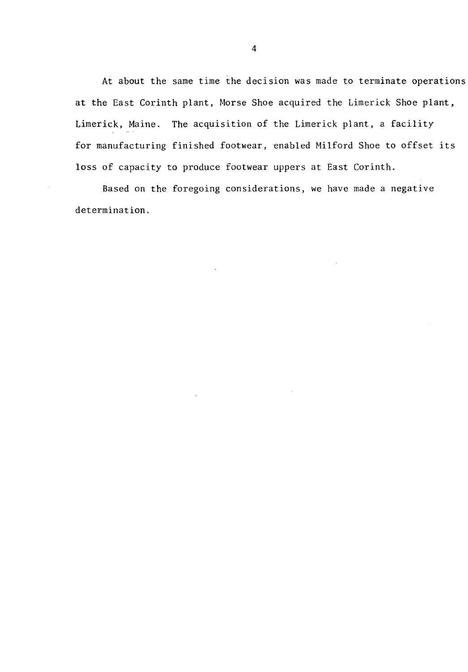At about the same time the decision was made to terminate operations at the East Corinth plant, Morse Shoe acquired the Limerick Shoe plant, Limerick, Maine. The acquisition of the Limerick plant, a facility for manufacturing finished footwear, enabled Milford Shoe to offset its loss of capacity to produce footwear uppers at East Corinth.

Based on the foregoing considerations, we have made a negative determination.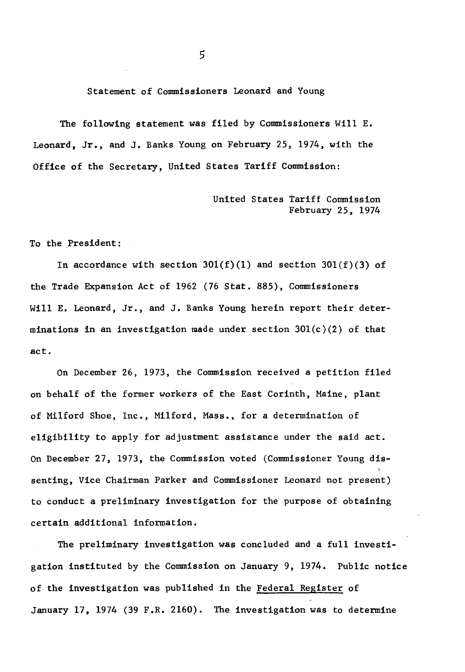Statement of Commissioners Leonard and Young

The following statement was filed by Commissioners Will  $E$ . Leonard, Jr., and J. Banks Young on February 25, 1974, with the Office of the Secretary, United States Tariff Commission:

> United States Tariff Commission February 25, 1974

To the President:

In accordance with section  $301(f)(1)$  and section  $301(f)(3)$  of the Trade Expansion Act of 1962 (76 Stat. 885), Connnissioners Will E. Leonard, Jr., and J. Banks Young herein report their determinations in an investigation made under section  $301(c)(2)$  of that act.

On December 26, 1973, the Commission received a petition filed on behalf of the former workers of the East Corinth, Maine, plant of Milford Shoe, Inc., Milford, Mass., for a determination of eligibility to apply for adjustment assistance under the said act. On December 27, 1973, the Connnission voted (Connnissioner Young dissenting, Vice Chairman Parker and Commissioner Leonard not present) to conduct a preliminary investigation for the purpose of obtaining certain additional information.

The preliminary investigation was concluded and a full investigation instituted by the Commission on January 9, 1974. Public notice of the investigation was published in the Federal Register of January 17, 1974 (39 F.R. 2160). The investigation was to determine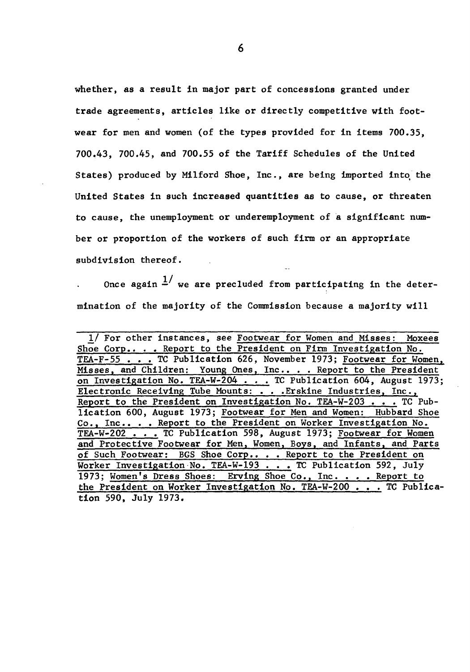whether, as a result in major part of concessions granted under trade agreements, articles like or directly competitive with footwear for men and women (of the types provided for in items 700.35, 700.43, 700.45, and 700.55 of the Tariff Schedules of the United States) produced by Milford Shoe, Inc., are being imported into the United States in such increased quantities as to cause, or threaten to cause, the unemployment or underemployment of a significant numher or proportion of the workers of such firm or an appropriate subdivision thereof.

Once again  $\frac{1}{x}$  we are precluded from participating in the determination of the majority of the Commission because a majority will

<sup>1/</sup> For other instances, see Footwear for Women and Misses: Moxees Shoe Corp.... Report to the President on Firm Investigation No. TEA-F-55 . . . TC Publication 626, November 1973; Footwear for Women, Misses, and Children: Young Ones, Inc.... Report to the President on Investigation No. TEA-W-204 . . . TC Publication 604, August 1973; Electronic Receiving Tube Mounts: . . . Erskine Industries, Inc., Report to the President on Investigation No. TEA-W-203 ••• TC Publication 600, August 1973; Footwear for Men and Women: Hubbard Shoe Co., Inc.. . . Report to the President on Worker Investigation No. TEA-W-202 . . . TC Publication 598, August 1973; Footwear for Women and Protective Footwear for Men, Women, Boys, and Infants, and Parts of Such Footwear: BGS Shoe Corp.... Report to the President on Worker Investigation No. TEA-W-193 . . . TC Publication 592, July 1973; Women's Dress Shoes: Erving Shoe Co., Inc. . . . Report to the President on Worker Investigation No. TEA-W-200 . . . TC Publication 590, July 1973.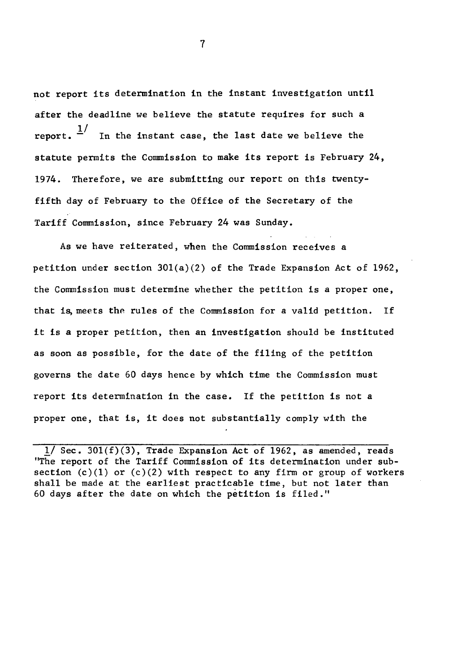not report its determination in the instant investigation until after the deadline we believe the statute requires for such a report.  $\frac{1}{x}$  In the instant case, the last date we believe the statute permits the Commission to make its report is February 24, 1974. Therefore, we are submitting our report on this twentyfifth day of February to the Office of the Secretary of the Tariff Commission, since February 24 was Sunday.

As we have reiterated, when the Commission receives a petition under section  $301(a)(2)$  of the Trade Expansion Act of 1962, the Commission must determine whether the petition is a proper one, that is, meets the rules of the Commission for a valid petition. If it is a proper petition, then an investigation should be instituted as soon as possible, for the date of the filing of the petition governs the date 60 days hence by which time the Commission must report its determination in the case. If the petition is not a proper one, that is, it does not substantially comply with the

<sup>!/</sup>Sec. 30l(f)(3), Trade Expansion Act of 1962, as amended, reads "The report of the Tariff Commission of its determination under subsection  $(c)(1)$  or  $(c)(2)$  with respect to any firm or group of workers shall be made at the earliest practicable time, but not later than 60 days after the date on which the petition is filed."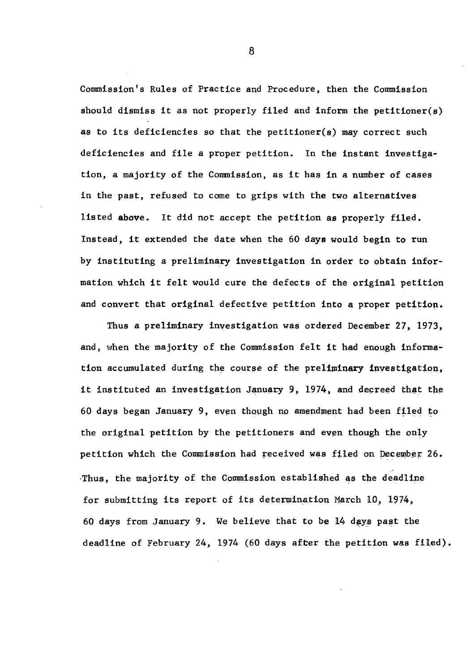Commission's Rules of Practice and Procedure, then the Commission should dismiss it as not properly filed and inform the petitioner(s) as to its deficiencies so that the petitioner( $s$ ) may correct such deficiencies and file a proper petition. In the instant investigation, a majority of the Commission, as it has in a number of cases in the past, refused to come to grips with the two alternatives listed above. It did not accept the petition as properly filed. Instead, it extended the date when the 60 days would begin to run by instituting a preliminary investigation in order to obtain information which it felt would cure the defects of the original petition and convert that original defective petition into a proper petition.

Thus a preliminary investigation was ordered December 27, 1973, and, when the majority of the Commission felt it had enough information accumulated during the course of the preliminary investigation, it instituted an investigation January 9, 1974, and decreed that the 60 days began January 9, even though no amendment had been filed to the original petition by the petitioners and even though *tpe* only petition which the Commission had received was filed on December 26. Thus, the majority of the Commission established as the deadline for submitting its report of its determination March 10, 1974, 60 days from January 9. We believe that to be  $14$  days past the deadline of February 24, 1974 (60 days after the petition was filed).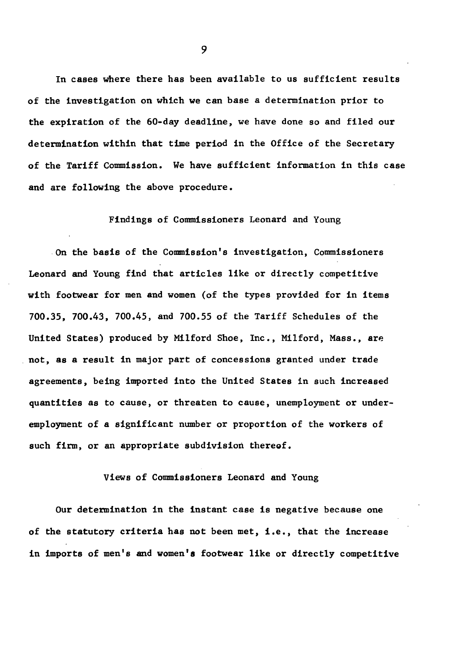In cases where there has been available to us sufficient results of the investigation on which we can base a determination prior to the expiration of the 60-day deadline, we have done so and filed our determination within that time period in the Office of the Secretary of the Tariff Commission. We have sufficient information in this case and are following the above procedure.

#### Findings of Commissioners Leonard and Young

On the basis of the Commission's investigation, Commissioners Leonard and Young find that articles like or directly competitive with footwear for men and women (of the types provided for in items 700.35, 700.43, 700.45, and 700.55 of the Tariff Schedules of the United States) produced by Milford Shoe, Inc., Milford, Mass., are not, as a result in major part of concessions granted under trade agreements, being imported into the United States in such increased quantities as to cause, or threaten to cause, unemployment or underemployment of a significant number or proportion of the workers of such firm, or an appropriate subdivision thereof.

#### Views of Commissioners Leonard and Young

Our determination in the instant case is negative because one of the statutory criteria has not been met, i.e., that the increase in imports of men's and women's footwear like or directly competitive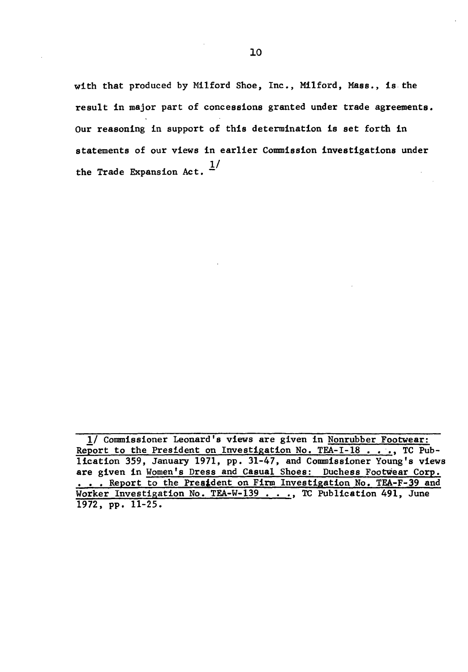with that produced by Milford Shoe, Inc., Milford, Mass., is. the result in major part of concessions granted under trade agreements. Our reasoning in support of this determination is set forth in statements of our views in earlier Commission investigations under the Trade Expansion Act.  $1/$ 

<sup>1/</sup> Commissioner Leonard's views are given in Nonrubber Footwear: Report to the President on Investigation No. TEA-I-18 . . ., TC Publication 359, January 1971, pp. 31-47, and Commissioner Young's views are given in Women's Dress and Casual Shoes: Duchess Footwear Corp. ... Report to the President on Firm Investigation No. TEA-F-39 and Worker Investigation No. TEA-W-139 . . ., TC Publication 491, June 1972, pp. 11-25.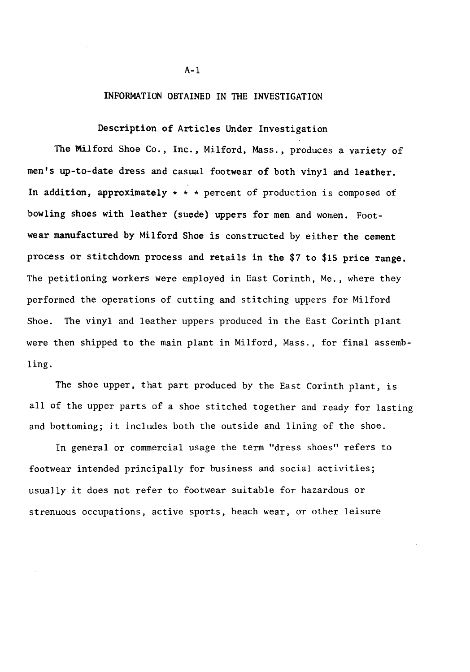#### INFORMATION OBTAINED IN THE INVESTIGATION

Description of Articles Under Investigation

The Milford Shoe Co., Inc., Milford, Mass., produces a variety of men's up-to-date dress and casual footwear of both vinyl and leather. In addition, approximately  $* * *$  percent of production is composed of bowling shoes with leather (suede) uppers for men and women. Footwear manufactured by Milford Shoe is constructed by either the cement process or stitchdown process and retails in the \$7 to \$15 price range. The petitioning workers were employed in East Corinth, Me., where they performed the operations of cutting and stitching uppers for Milford Shoe. The vinyl and leather uppers produced in the East Corinth plant were then shipped to the main plant in Milford, Mass., for final assembling.

The shoe upper, that part produced by the East Corinth plant, is all of the upper parts of a shoe stitched together and ready for lasting and bottoming; it includes both the outside and lining of the shoe.

In general or commercial usage the term "dress shoes" refers to footwear intended principally for business and social activities; usually it does not refer to footwear suitable for hazardous or strenuous occupations, active sports, beach wear, or other leisure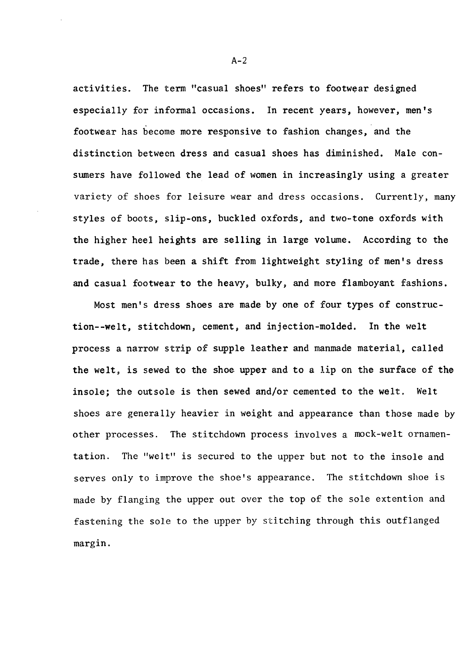activities. The term "casual shoes" refers to footwear designed especially for informal occasions. In recent years, however, men's footwear has become more responsive to fashion changes, and the distinction between dress and casual shoes has diminished. Male consumers have followed the lead of women in increasingly using a greater variety of shoes for leisure wear and dress occasions. Currently, many styles of boots, slip-ons, buckled oxfords, and two-tone oxfords with the higher heel heights are selling in large volume. According to the trade, there has been a shift from lightweight styling of men's dress and casual footwear to the heavy, bulky, and more flamboyant fashions.

Most men's dress shoes are made by one of four types of construction--welt, stitchdown, cement, and injection-molded. In the welt process a narrow strip of supple leather and manmade material, called the welt, is sewed to the shoe upper and to a lip on the surface of the insole; the outsole is then sewed and/or cemented to the welt. Welt shoes are generally heavier in weight and appearance than those made by other processes. The stitchdown process involves a mock-welt ornamentation. The "welt" is secured to the upper but not to the insole and serves only to improve the shoe's appearance. The stitchdown shoe is made by flanging the upper out over the top of the sole extention and fastening the sole to the upper by stitching through this outflanged margin.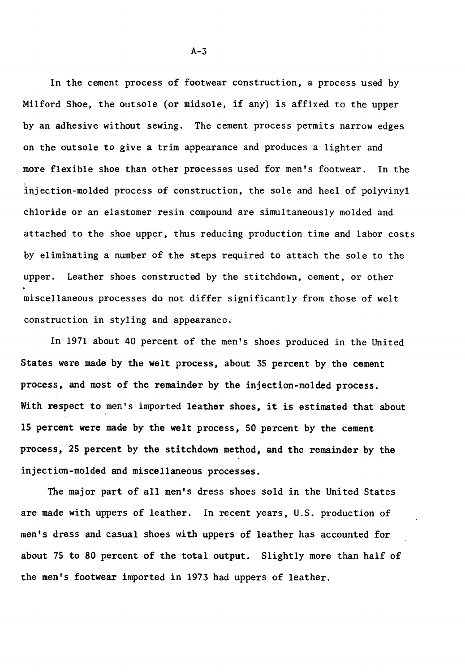In the cement process of footwear construction, a process used by Milford Shoe, the outsole (or midsole, if any) is affixed to the upper by an adhesive without sewing. The cement process permits narrow edges on the outsole to give a trim appearance and produces a lighter and more flexible shoe than other processes used for men's footwear. In the injection-molded process of construction, the sole and heel of polyvinyl chloride or an elastomer resin compound are simultaneously molded and attached to the shoe upper, thus reducing production time and labor costs by eliminating a number of the steps required to attach the sole to the upper. Leather shoes constructed by the stitchdown, cement, or other miscellaneous processes do not differ significantly from those of welt construction in styling and appearance.

In 1971 about 40 percent of the men's shoes produced in the United States were made by the welt process, about 35 percent by the cement process, and most of the remainder by the injection-molded process. With respect to men's imported leather shoes, it is estimated that about 15 percent were made by the welt process, 50 percent by the cement process, 25 percent by the stitchdown method, and the remainder by the injection-molded and miscellaneous processes.

The major part of all men's dress shoes sold in the United States are made with uppers of leather. In recent years, U.S. production of men's dress and casual shoes with uppers of leather has accounted for about 75 to 80 percent of the total output. Slightly more than half of the men's footwear imported in 1973 had uppers of leather.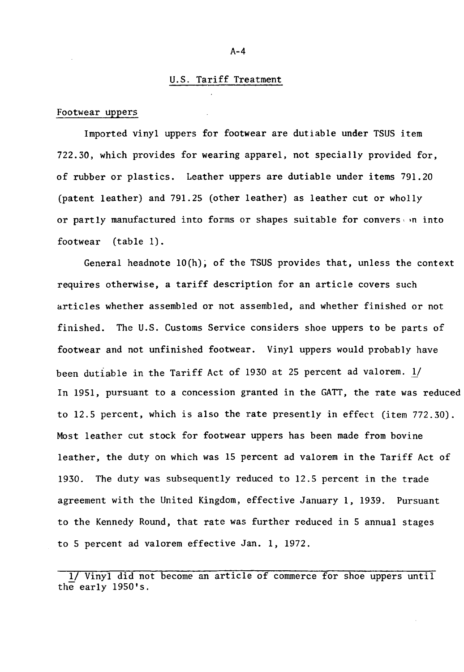#### U.S. Tariff Treatment

#### Footwear uppers

Imported vinyl uppers for footwear are dutiable under TSUS item 722.30, which provides for wearing apparel, not specially provided for, of rubber or plastics. Leather uppers are dutiable under items 791.20 (patent leather) and 791.25 (other leather) as leather cut or wholly or partly manufactured into forms or shapes suitable for convers, •n into footwear (table 1).

General headnote  $10(h)$ , of the TSUS provides that, unless the context requires otherwise, a tariff description for an article covers such articles whether assembled or not assembled, and whether finished or not finished. The U.S. Customs Service considers shoe uppers to be parts of footwear and not unfinished footwear. Vinyl uppers would probably have been dutiable in the Tariff Act of 1930 at 25 percent ad valorem. *l/*  In 1951, pursuant to a concession granted in the GATT, the rate was reduced to 12.5 percent, which is also the rate presently in effect (item 772.30). Most leather cut stock for footwear uppers has been made from bovine leather, the duty on which was 15 percent ad valorem in the Tariff Act of 1930. The duty was subsequently reduced to 12.5 percent in the trade agreement with the United Kingdom, effective January 1, 1939. Pursuant to the Kennedy Round, that rate was further reduced in 5 annual stages to 5 percent ad valorem effective Jan. 1, 1972.

1/ Vinyl did not become an article of commerce for shoe uppers until the early 1950's.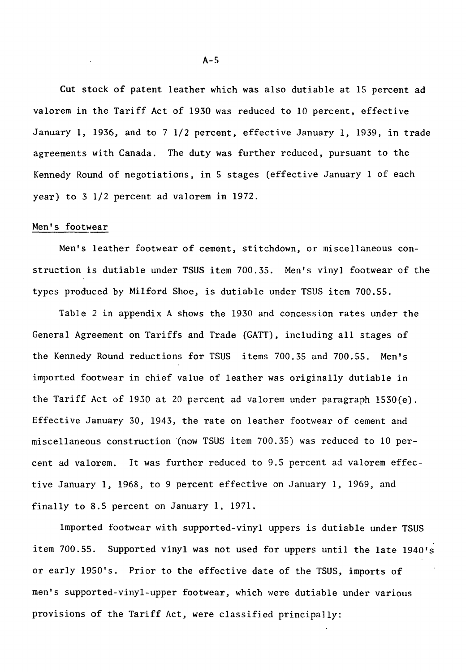Cut stock of patent leather which was also dutiable at 15 percent ad valorem in the Tariff Act of 1930 was reduced to 10 percent, effective January 1, 1936, and to 7 1/2 percent, effective January 1, 1939, in trade agreements with Canada. The duty was further reduced, pursuant to the Kennedy Round of negotiations, in 5 stages (effective January 1 of each year) to 3 1/2 percent ad valorem in 1972.

#### Men's footwear

Men's leather footwear of cement, stitchdown, or miscellaneous construction is dutiable under TSUS item 700.35. Men's vinyl footwear of the types produced by Milford Shoe, is dutiable under TSUS item 700.55.

Table 2 in appendix A shows the 1930 and concession rates under the General Agreement on Tariffs and Trade (GATT), including all stages of the Kennedy Round reductions for TSUS items 700.35 and 700.55. Men's imported footwear in chief value of leather was originally dutiable in the Tariff Act of 1930 at 20 percent ad valorem under paragraph 1530(e). Effective January 30, 1943, the rate on leather footwear of cement and miscellaneous construction (now TSUS item 700.35) was reduced to 10 percent ad valorem. It was further reduced to 9.5 percent ad valorem effective January 1, 1968, to 9 percent effective on January 1, 1969, and finally to 8.5 percent on January 1, 1971.

Imported footwear with supported-vinyl uppers is dutiable under TSUS item 700.55. Supported vinyl was not used for uppers until the late 1940's or early 1950's. Prior to the effective date of the TSUS, imports of men's supported-vinyl-upper footwear, which were dutiable under various provisions of the Tariff Act, were classified principally: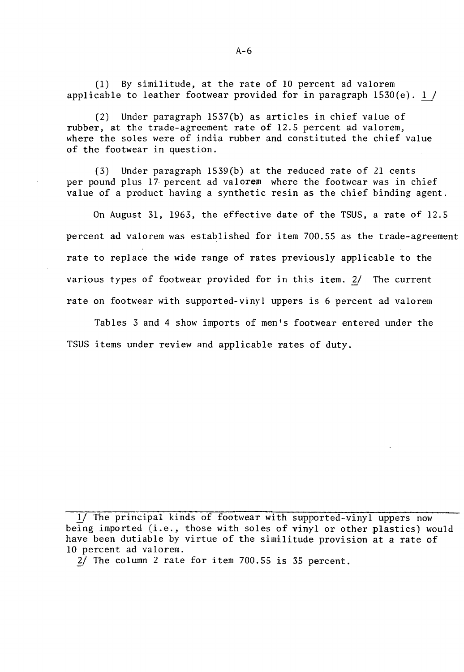(1) By similitude, at the rate of 10 percent ad valorem applicable to leather footwear provided for in paragraph  $1530(e)$ . 1/

(2) Under paragraph 1537(b) as articles in chief value of rubber, at the trade-agreement rate of 12.5 percent ad valorem, where the soles were of india rubber and constituted the chief value of the footwear in question.

(3) Under paragraph 1539(b) at the reduced rate of 21 cents per pound plus 17- percent ad valorem where the footwear was in chief value of a product having a synthetic resin as the chief binding agent.

On August 31, 1963, the effective date of the TSUS, a rate of 12.5 percent ad valorem was established for item 700.55 as the trade-agreement rate to replace the wide range of rates previously applicable to the various types of footwear provided for in this item. 2/ The current rate on footwear with supported-vinyl uppers is 6 percent ad valorem

Tables 3 and 4 show imports of men's footwear entered under the TSUS items under review and applicable rates of duty.

<sup>!/</sup> The principal kinds of footwear with supported-vinyl uppers now being imported (i.e., those with soles of vinyl or other plastics) would have been dutiable by virtue of the similitude provision at a rate of 10 percent ad valorem.

<sup>2/</sup> The column 2 rate for item 700.55 is 35 percent.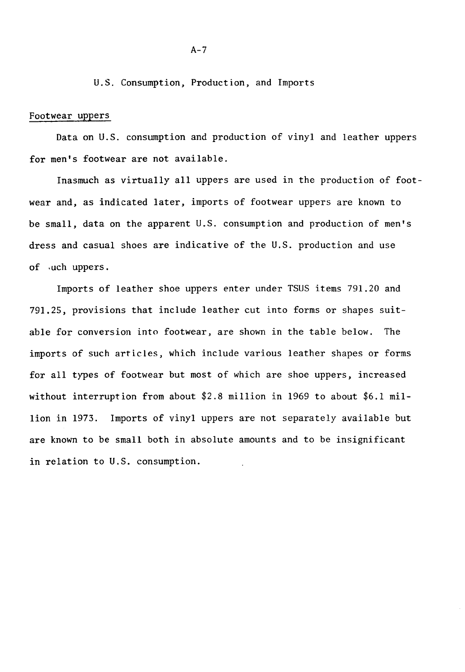U.S. Consumption, Production, and Imports

#### Footwear uppers

Data on U.S. consumption and production of vinyl and leather uppers for men's footwear are not available.

Inasmuch as virtually all uppers are used in the production of footwear and, as indicated later, imports of footwear uppers are known to be small, data on the apparent U.S. consumption and production of men's dress and casual shoes are indicative of the U.S. production and use of .uch uppers.

Imports of leather shoe uppers enter under TSUS items 791.20 and 791.25, provisions that include leather cut into forms or shapes suitable for conversion into footwear, are shown in the table below. The imports of such articles, which include various leather shapes or forms for all types of footwear but most of which are shoe uppers, increased without interruption from about \$2.8 million in 1969 to about \$6.1 million in 1973. Imports of vinyl uppers are not separately available but are known to be small both in absolute amounts and to be insignificant in relation to U.S. consumption.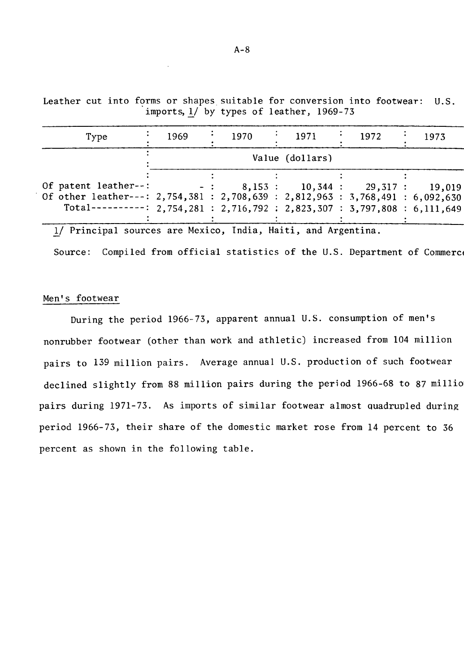Leather cut into forms or shapes suitable for conversion into footwear: U.S. imports,  $1/$  by types of leather, 1969-73

| Type                                                                           | 1969 | 1970 | 1971                               | 1972 | 1973 |
|--------------------------------------------------------------------------------|------|------|------------------------------------|------|------|
|                                                                                |      |      | Value (dollars)                    |      |      |
|                                                                                |      |      |                                    |      |      |
| Of patent leather--:                                                           |      |      | $-: 8,153: 10,344: 29,317: 19,019$ |      |      |
| Of other leather---: 2,754,381 : 2,708,639 : 2,812,963 : 3,768,491 : 6,092,630 |      |      |                                    |      |      |
| Total---------: 2,754,281: 2,716,792: 2,823,307: 3,797,808: 6,111,649          |      |      |                                    |      |      |
|                                                                                |      |      |                                    |      |      |
| 1/ Principal sources are Mexico, India, Haiti, and Argentina.                  |      |      |                                    |      |      |

Source: Compiled from official statistics of the U.S. Department of Commerce

#### Men's footwear

During the period 1966-73, apparent annual U.S. consumption of men's nonrubber footwear (other than work and athletic) increased from 104 million pairs to 139 million pairs. Average annual U.S. production of such footwear declined slightly from 88 million pairs during the period 1966-68 to 87 millio pairs during 1971-73. As imports of similar footwear almost quadrupled during period 1966-73, their share of the domestic market rose from 14 percent to 36 percent as shown in the following table.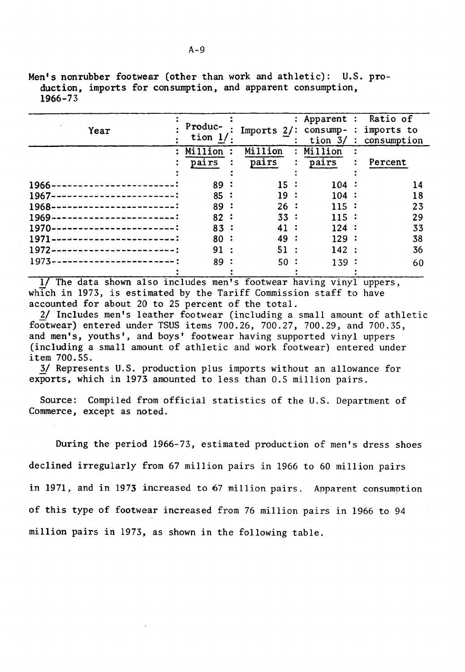Men's nonrubber footwear (other than work and athletic): U.S. production, imports for consumption, and apparent consumption, 1966-73

|          | Produc-            |                              | : Apparent : |              | Ratio of    |
|----------|--------------------|------------------------------|--------------|--------------|-------------|
| Year     |                    | Imports $2$ /:               | consump-     | ÷            | imports to  |
|          | tion $1/$          |                              | tion $3/$    | $\mathbb{R}$ | consumption |
|          | Million            | $M$ illion<br>$\ddot{\cdot}$ | Million      |              |             |
|          | pairs<br>$\bullet$ | pairs                        | pairs        |              | Percent     |
|          |                    |                              |              |              |             |
| 1966-    | 89:                | 15:                          | 104:         |              | 14          |
| $1967 -$ | 85:                | 19 :                         | 104:         |              | 18          |
| 1968-    | 89:                | 26:                          | 115:         |              | 23          |
| 1969-    | 82:                | 33:                          | 115:         |              | 29          |
| 1970-    | 83:                | 41:                          | 124:         |              | 33          |
| 1971-    | 80:                | 49:                          | 129:         |              | 38          |
| $1972 -$ | 91:                | 51:                          | 142:         |              | 36          |
| $1973-$  | 89:                | 50:                          | 139:         |              | 60          |
|          |                    |                              |              |              |             |

1/ The data shown also includes men's footwear having vinyl uppers, which in 1973, is estimated by the Tariff Commission staff to have accounted for about 20 to 25 percent of the total.

2/ Includes men's leather footwear (including a small amount of athletic footwear) entered under TSUS items 700.26, 700.27, 700.29, and 700.35, and men's, youths', and boys' footwear having supported vinyl uppers (including a small amount of athletic and work footwear) entered under item 700. 55.

3/ Represents U.S. production plus imports without an allowance for exports, which in 1973 amounted to less than 0.5 million pairs.

Source: Compiled from official statistics of the U.S. Department of Commerce, except as noted.

During the period 1966-73, estimated production of men's dress shoes declined irregularly from 67 million pairs in 1966 to 60 million pairs in 1971, and in 1973 increased to 67 million pairs. Apparent consumntion of this type of footwear increased from 76 million pairs in 1966 to 94 million pairs in 1973, as shown in the following table.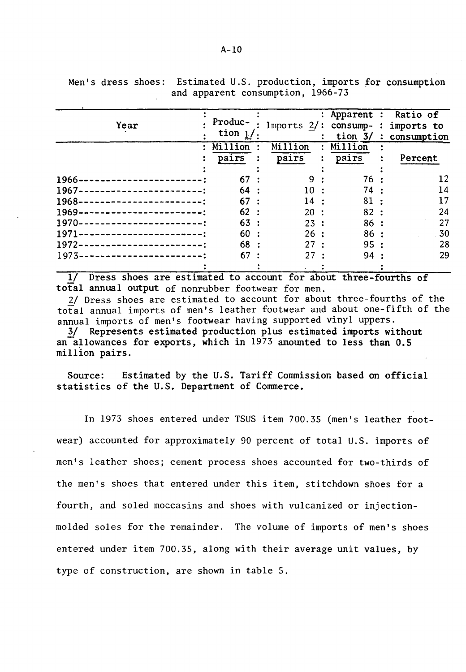|                                             | Produc-   |                           |                      | : Apparent : | Ratio of      |
|---------------------------------------------|-----------|---------------------------|----------------------|--------------|---------------|
| Year                                        |           | Imports $2/$ : consump- : |                      |              | imports to    |
|                                             | tion $1/$ |                           |                      | tion $3/$    | : consumption |
|                                             | Million   | Million                   | $\ddot{\phantom{a}}$ | Million      |               |
|                                             | pairs     | pairs                     | ٠<br>٠               | pairs        | Percent       |
|                                             |           |                           |                      |              |               |
| 1966-                                       | 67        | 9                         |                      | 76           | 12            |
| $1967 -$<br>----------                      | 64        | 10                        |                      | 74:          | 14            |
| 1968-<br>--------------------               | 67        | 14                        |                      | 81           | 17            |
| $1969--$<br>---------------------           | 62:       | 20                        |                      | 82:          | 24            |
| 1970-<br>------------------------           | 63:       | 23:                       |                      | 86 :         | 27            |
| 1971<br>---------------------- <sup>-</sup> | 60        | 26:                       |                      | 86:          | 30            |
| 1972------------------------                | 68        | 27                        |                      | 95:          | 28            |
| 1973--------------------------              | 67        | 27                        |                      | 94:          | 29            |
|                                             |           |                           |                      |              |               |

Men's dress shoes: Estimated U.S. production, imports for consumption and apparent consumption, 1966-73

1/ Dress shoes are estimated to account for about three-fourths of total annual output of nonrubber footwear for men.

2/ Dress shoes are estimated to account for about three-fourths of the total annual imports of men's leather footwear and about one-fifth of the annual imports of men's footwear having supported vinyl uppers.

3/ Represents estimated production plus estimated imports without an allowances for exports, which in  $1973$  amounted to less than 0.5 million pairs.

Source: Estimated by the U.S. Tariff Commission based on official statistics of the U.S. Department of Commerce.

In 1973 shoes entered under TSUS item 700.35 (men's leather footwear) accounted for approximately 90 percent of total U.S. imports of men's leather shoes; cement process shoes accounted for two-thirds of the men's shoes that entered under this item, stitchdown shoes for a fourth, and soled moccasins and shoes with vulcanized or injectionmolded soles for the remainder. The volume of imports of men's shoes entered under item 700.35, along with their average unit values, by type of construction, are shown in table 5.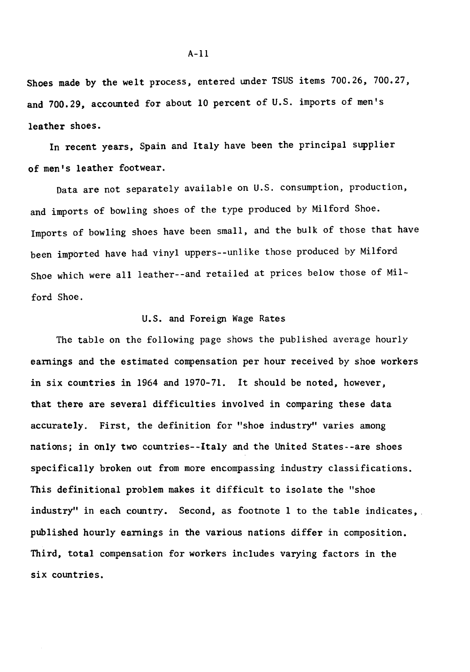Shoes made by the welt process, entered under TSUS items *700.26, 700.27,*  and 700.29, accounted for about 10 percent of U.S. imports of men's leather shoes.

In recent years, Spain and Italy have been the principal supplier of men's leather footwear.

Data are not separately available on U.S. consumption, production, and imports of bowling shoes of the type produced by Milford Shoe. Imports of bowling shoes have been small, and the bulk of those that have been imported have had vinyl uppers--unlike those produced by Milford Shoe which were all leather--and retailed at prices below those of Milford Shoe.

#### U.S. and Foreign Wage Rates

The table on the following page shows the published average hourly earnings and the estimated compensation per hour received by shoe workers in six countries in 1964 and 1970-71. It should be noted, however, that there are several difficulties involved in comparing these data accurately. First, the definition for "shoe industry" varies among nations; in only two countries--ltaly and the United States--are shoes specifically broken out from more encompassing industry classifications. This definitional problem makes it difficult to isolate the "shoe industry" in each country. Second, as footnote 1 to the table indicates. published hourly earnings in the various nations differ in composition. Third, total compensation for workers includes varying factors in the six countries.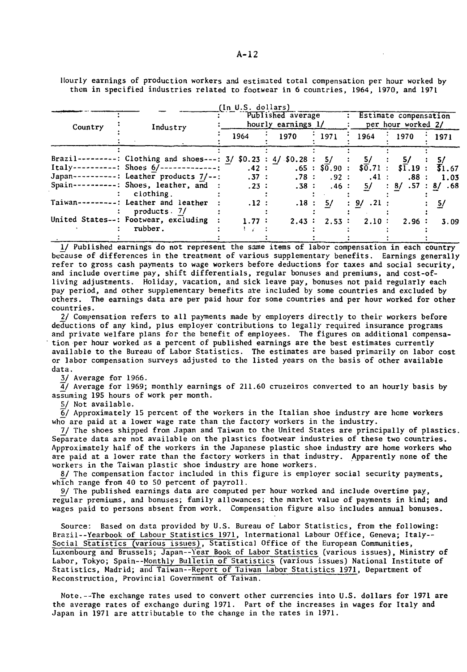llourly earnings of production workers and estimated total compensation per hour worked by them in specified industries related to footwear in 6 countries, 1964, 1970, and 1971

|         |                                                                                          | (In U.S. dollars) |                                         |                                                 |                                         |               |           |
|---------|------------------------------------------------------------------------------------------|-------------------|-----------------------------------------|-------------------------------------------------|-----------------------------------------|---------------|-----------|
| Country | Industry                                                                                 |                   | Published average<br>hourly earnings 1/ | : Estimate compensation<br>: per hour worked 2/ |                                         |               |           |
|         |                                                                                          | 1964              | 1970                                    | 1971                                            | 1964                                    | 1970          | 1971      |
|         | Brazil---------: Clothing and shoes---: $3/$ \$0.23 : 4/ \$0.28 : 5/ :                   |                   |                                         |                                                 | 5/ :                                    | 5/            |           |
|         | Italy----------: Shoes $6$ /--------------:<br>Japan----------: Leather products $7/-$ : | .37:              | .42:                                    | .78: .92:                                       | .65 : \$0.90 : \$0.71 : \$1.19 : \$1.67 | .41: .88:     | 1.03      |
|         | Spain----------: Shoes, leather, and :<br>$:$ clothing.                                  | .23:              | .38:                                    | .46:                                            | 5/                                      | : 8/ .57 : 8/ | . 68      |
|         | Taiwan---------: Leather and leather<br>products. $7/$                                   | .12:              | .18:                                    | 5/                                              | : 9/ .21 :                              |               | <u>5/</u> |
|         | United States--: Footwear, excluding<br>rubber.                                          | 1.77:             | 2.43:                                   | 2.53:                                           | 2.10:                                   | 2.96:         | 3.09      |
|         |                                                                                          |                   |                                         |                                                 |                                         |               |           |

1/ Published earnings do not represent the same items of labor compensation in each country because of differences in the treatment of various supplementary benefits. Earnings generally refer to gross cash payments to wage workers before deductions for taxes and social security, and include overtime pay, shift differentials, regular bonuses and premiums, and cost-ofliving adjustments. Holiday, vacation, and sick leave pay, bonuses not paid regularly each pay period, and other supplementary benefits ate included by some countries and excluded by others. The earnings data are per paid hour for some countries and per hour worked for other countries.

2/ Compensation refers to all payments made by employers directly to their workers before deductions of any kind, plus employer contributions to legally required insurance programs and private welfare plans for the benefit of employees. The figures on additional compensation per hour worked as a percent of published earnings are the best estimates currently available to the Bureau of Labor Statistics. The estimates are based primarily on labor cost or labor compensation surveys adjusted to the listed years on the basis of other available data.

3/ Average for 1966.

 $\overline{4}$ / Average for 1969; monthly earnings of 211.60 cruzeiros converted to an hourly basis by assuming 195 hours of work per month.

5/ Not available.

6/ Approximately 15 percent of the workers in the Italian shoe industry are home workers who are paid at a lower wage rate than the factory workers in the industry.

7/ The shoes shipped from Japan and Taiwan to the United States are principally of plastics. Separate data are not available on the plastics footwear industries of these two countries. Approximately half of the workers in the Japanese plastic shoe industry are home workers who are paid at a lower rate than the factory workers in that industry. Apparently none of the workers in the Taiwan plastic shoe industry are home workers.

8/ The compensation factor included in this figure is employer social security payments, which range from 40 to 50 percent of payroll.

9/ The published earnings data are computed per hour worked and include overtime pay, regular premiums, and bonuses; family allowances; the market value of payments in kind; and wages paid to persons absent from work. Compensation figure also includes annual bonuses.

Source: Based on data provided by U.S. Bureau of Labor Statistics, from the following: Brazil--Yearbook of Labour Statistics 1971, International Labour Office, Geneva; Italy-- Social Statistics (various issues), Statistical Office of the European Communities, Luxembourg and Brussels; Japan--lear Book of Labor Statistics (various issues), Ministry of Labor, Tokyo; Spain--Monthly Bulletin of Statistics (various issues) National Institute of Statistics, Madrid; and Taiwan--Report of Taiwan Labor Statistics 1971, Department of Reconstruction, Provincial Government of Taiwan.

Note.--The exchange rates used to convert other currencies into U.S. dollars for 1971 are the average rates of exchange during 1971. Part of the increases in wages for Italy and Japan in 1971 are attributable to the change in the rates in 1971.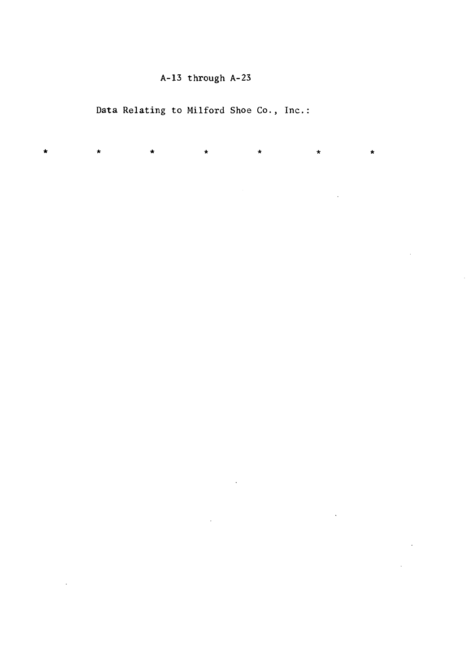# A-13 through A-23

Data Relating to Milford Shoe Co., Inc.:

\* \* \* \* \* \* \*

 $\ddot{\phantom{0}}$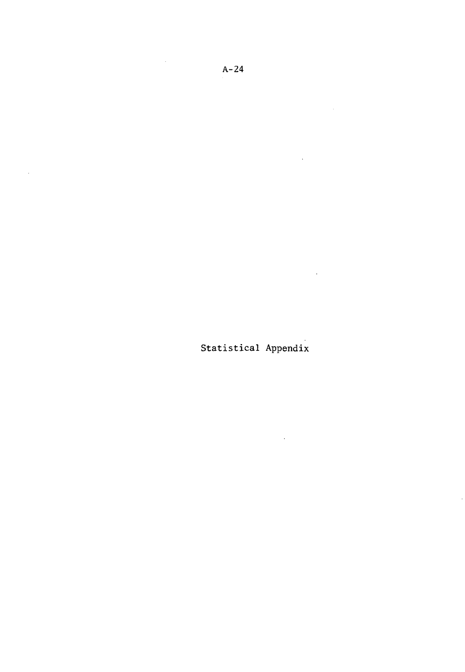Statistical Appendix

 $\bar{\mathcal{A}}$ 

l.

 $\bar{\mathcal{A}}$ 

 $\sim$ 

J.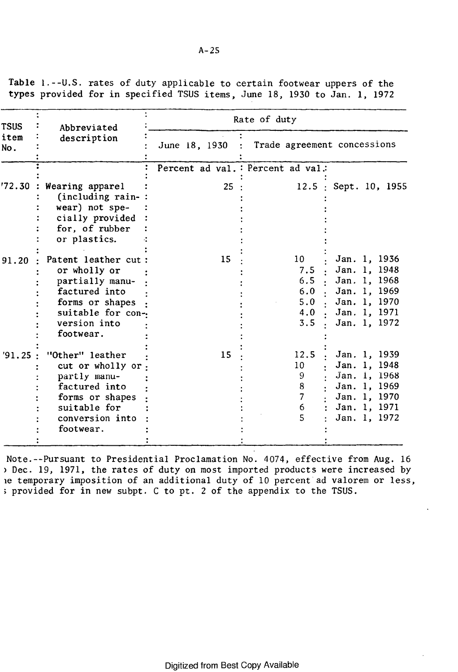Table 1.--U.S. rates of duty applicable to certain footwear uppers of the types provided for in specified TSUS items, June 18, 1930 to Jan. 1, 1972

| <b>TSUS</b>                | Abbreviated                                                                                                                                                                                              | Rate of duty          |                                                                     |                                                                                                              |  |  |  |  |  |  |
|----------------------------|----------------------------------------------------------------------------------------------------------------------------------------------------------------------------------------------------------|-----------------------|---------------------------------------------------------------------|--------------------------------------------------------------------------------------------------------------|--|--|--|--|--|--|
| item<br>description<br>No. |                                                                                                                                                                                                          | June 18, 1930         | Trade agreement concessions                                         |                                                                                                              |  |  |  |  |  |  |
|                            |                                                                                                                                                                                                          |                       | Percent ad val. : Percent ad val.:                                  |                                                                                                              |  |  |  |  |  |  |
| '72.30<br>91.20            | Wearing apparel<br>(including rain-<br>wear) not spe-<br>cially provided<br>for, of rubber<br>or plastics.<br>Patent leather cut:<br>or wholly or<br>partially manu-<br>factured into<br>forms or shapes | 25 <sub>2</sub><br>15 | 12.5:<br>10 <sub>1</sub><br>7.5<br>6.5<br>$6.0$ .<br>$5.0$ .        | Sept. 10, 1955<br>Jan. 1, 1936<br>Jan. 1, 1948<br>Jan. 1, 1968<br>Jan. 1, 1969<br>Jan. 1, 1970               |  |  |  |  |  |  |
|                            | suitable for con-.<br>version into<br>footwear.                                                                                                                                                          |                       | $4.0$ .<br>3.5                                                      | Jan. 1, 1971<br>Jan. 1, 1972                                                                                 |  |  |  |  |  |  |
| '91.25                     | "Other" leather<br>cut or wholly or.<br>partly manu-<br>factured into<br>forms or shapes<br>suitable for<br>conversion into<br>footwear.                                                                 | 15                    | 12.5<br>$10-1$<br>9.<br>8<br>$7\overline{ }$<br>6<br>$\overline{5}$ | Jan. 1, 1939<br>Jan. 1, 1948<br>Jan. 1, 1968<br>Jan. 1, 1969<br>Jan. 1, 1970<br>Jan. 1, 1971<br>Jan. 1, 1972 |  |  |  |  |  |  |

Note.--Pursuant to Presidential Proclamation No. *4074,* effective from Aug. 16 > Dec. 19, 1971, the rates of duty on most imported products were increased by ie temporary imposition of an additional duty of 10 percent ad valorem or less, ; provided for in new subpt. C to pt. 2 of the appendix to the TSUS.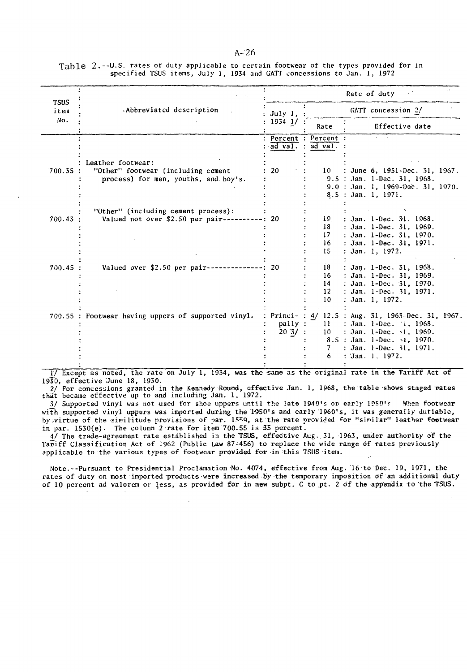| <b>TSUS</b> |                                                                                                 |                      |                             | Rate of duty                                                                                                                                                                        |  |  |  |  |
|-------------|-------------------------------------------------------------------------------------------------|----------------------|-----------------------------|-------------------------------------------------------------------------------------------------------------------------------------------------------------------------------------|--|--|--|--|
| item        | Abbreviated description                                                                         | July 1,              | GATT concession 2/          |                                                                                                                                                                                     |  |  |  |  |
| No.         |                                                                                                 | $1954$ 1/            | Rate                        | Effective date                                                                                                                                                                      |  |  |  |  |
|             |                                                                                                 | : Percent<br>ad val. | Percent<br>ad val.          |                                                                                                                                                                                     |  |  |  |  |
| 700.35:     | Leather footwear:<br>"Other" footwear (including cement<br>process) for men, youths, and boy's. | 20                   | 10                          | : June 6, 1951-Dec. 31, 1967.<br>$9.5: Jan. 1-Dec. 31, 1968.$<br>$9.0$ : Jan. 1, 1969-Dec. 31, 1970.<br>$8.5$ : Jan. 1, 1971.                                                       |  |  |  |  |
| 700.43:     | "Other" (including cement process):<br>Valued not over \$2.50 per pair-                         | 20                   | 19.<br>18<br>17<br>16<br>15 | : Jan. 1-Dec. 31. 1968.<br>: Jan. 1-Dec. 31, 1969.<br>: Jan. 1-Dec. 31, 1970.<br>: Jan. 1-Dec. 31, 1971.<br>: Jan. 1, 1972.                                                         |  |  |  |  |
| 700.45:     | Valued over \$2.50 per pair-                                                                    | 20                   | 18<br>16<br>14<br>12<br>10  | : Jan. 1-Dec. 31, 1968.<br>: Jan. 1-Dec. 31, 1969.<br>: Jan. 1-Dec. 31, 1970.<br>: Jan. 1-Dec. 31, 1971.<br>: Jan. 1, 1972.                                                         |  |  |  |  |
|             | 700.55 : Footwear having uppers of supported vinyl.                                             | pally :<br>$20.3/$ : | 11<br>$10-10$<br>7<br>6.    | Princi-: 4/ 12.5: Aug. 31, 1963-Dec. 31, 1967.<br>: Jan. 1-Dec. 1, 1968.<br>: Jan. 1-Dec. \1, 1969.<br>$8.5$ : Jan. 1-Dec. 1, 1970.<br>: Jan. 1-Dec. 31, 1971.<br>: $Jan. 1. 1972.$ |  |  |  |  |

Tahle 2. --U.S. rates of duty applicable to certain footwear of the types provided for in specified TSUS items, July 1, 1934 and GATT concessions to Jan. 1, 1972

l'/ Except as noted, the rate on July 1, 1934, was the same as the original rate in the Tariff Act of 1930, effective June 18, 1930.

2/ For concessions granted in the Kennedy Round, effective Jan. 1, 1968, the table ·shows staged rates that became effective up to and including Jan, 1, 1972.

3/ Supported vinyl was not used for shoe uppers until the late 1940's or early 1950's When footwear with supported vinyl uppers was imported during the 1950's and early 1960's, it was generally dutiable, by virtue of the similitude provisions of par. 1559, at the rate provided for "similar" leather footwear in par.  $1530(e)$ . The column 2 rate for item 700.55 is 35 percent.

4/ The trade-agreement rate established in the 'TSUS, effective Aug. 31, 1963, under authority of the Tariff Classification Act of 1962 (Public Law 87-456) to replace the wide range of rates previously applicable to the various types of footwear provided for in this TSUS item.

Note.--Pursuant to Presidential Proclamation No. 4074, effective from Aug. 16 to Dec. 19, 1971, the rates of duty on most imported products were increased by the temporary imposition of an additional duty of 10 percent ad valorem or less, as provided for in new subpt. C to pt. 2 of the appendix to the TSUS.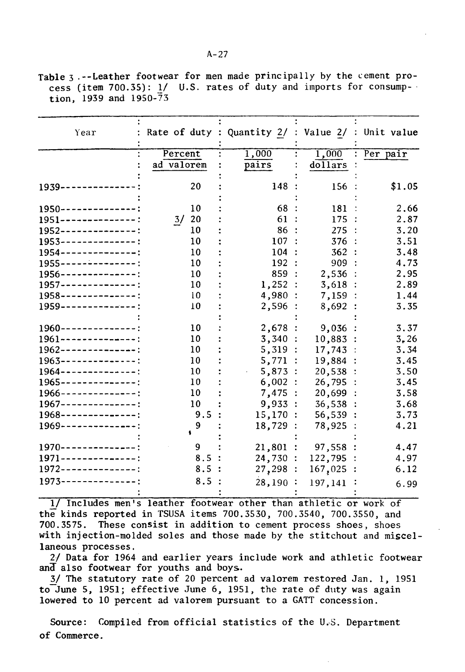| Table 3.--Leather footwear for men made principally by the cement pro- |  |  |  |
|------------------------------------------------------------------------|--|--|--|
| cess (item 700.35): $1/$ U.S. rates of duty and imports for consump-   |  |  |  |
| tion, 1939 and 1950-73                                                 |  |  |  |

| Year                             |                       | Rate of duty : Quantity 2/ : Value 2/ : Unit value |             |          |
|----------------------------------|-----------------------|----------------------------------------------------|-------------|----------|
|                                  | Percent               | 1,000                                              | 1,000       | Per pair |
|                                  | ad valorem            | pairs                                              | dollars     |          |
|                                  |                       |                                                    |             |          |
| $1939 - - - - - - - - - - -$     | 20                    | 148                                                | 156         | \$1.05   |
|                                  |                       |                                                    |             |          |
| $1950$ --------------:           | 10                    | 68                                                 | 181         | 2.66     |
| $1951 - - - - - - - - - - - -$ : | 20<br>3/              | 61                                                 | 175:        | 2.87     |
| $1952$ --------------:           | 10                    | 86                                                 | 275:        | 3.20     |
| $1953$ --------------:           | 10                    | 107                                                | 376         | 3.51     |
| $1954$ --------------:           | 10                    | 104                                                | 362:        | 3.48     |
| $1955$ --------------:           | 10                    | 192                                                | 909:        | 4.73     |
| 1956---------------:             | 10                    | 859                                                | 2,536       | 2.95     |
| $1957$ --------------:           | 10                    | 1,252                                              | 3,618       | 2.89     |
| $1958$ -------------:            | 10                    | 4,980                                              | 7,159       | 1.44     |
| 1959---------------              | 10                    | 2,596:                                             | 8,692       | 3.35     |
|                                  |                       |                                                    |             |          |
| $1960------------$               | 10                    | 2,678:                                             | 9,036:      | 3.37     |
| 1961--------------:              | 10                    | 3,340                                              | 10,883:     | 3,26     |
| $1962$ --------------:           | 10                    | 5,319:                                             | 17,743:     | 3.34     |
| $1963 - - - - - - - - - - -$     | 10                    | 5,771                                              | 19,884      | 3.45     |
| $1964 - - - - - - - - - - -$     | 10                    | 5,873                                              | 20,538      | 3.50     |
| $1965 - - - - - - - - - - -$     | 10                    | 6,002                                              | 26,795      | 3.45     |
| $1966$ --------------:           | 10                    | 7,475                                              | 20,699      | 3.58     |
| $1967$ --------------:           | 10                    | 9,933                                              | 36,538:     | 3.68     |
| $1968 - - - - - - - - - - -$     | 9.5                   | 15,170                                             | 56,539 :    | 3.73     |
| $1969$ ---------------           | 9                     | 18,729                                             | 78,925      | 4.21     |
|                                  |                       |                                                    |             |          |
| $1970------------$               | 9                     | $21,801$ :                                         | 97,558 :    | 4.47     |
| $1971 - - - - - - - - - - -$ :   | 8.5:                  | 24,730 :                                           | 122,795 :   | 4.97     |
| $1972$ --------------:           | 8.5<br>$\ddot{\cdot}$ | 27,298                                             | $167,025$ : | 6.12     |
| $1973$ --------------:           | 8.5                   | 28,190                                             | 197,141     | 6.99     |
|                                  |                       |                                                    |             |          |

1/ Includes men's leather footwear other than athletic or work of the kinds reported in TSUSA items 700.3530, 700.3540, 700.3550, and 700.3575. These consist in addition to cement process shoes, shoes with injection-molded soles and those made by the stitchout and miscellaneous processes.

2/ Data for 1964 and earlier years include work and athletic footwear and also footwear for youths and boys.

3/ The statutory rate of 20 percent ad valorem restored Jan. 1, 1951 to June 5, 1951; effective June 6, 1951, the rate of duty was again lowered to 10 percent ad valorem pursuant to a GATT concession.

Source: Compiled from official statistics of the U.S. Department of Commerce.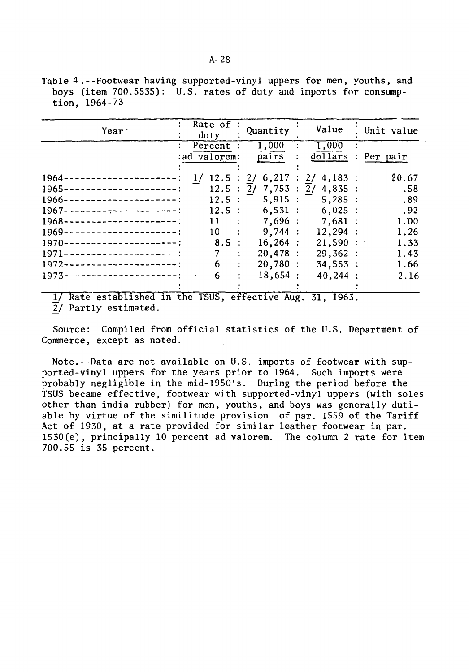Table 4 .--Footwear having supported-vinyl uppers for men, youths, and boys (item 700.5535): U.S. rates of duty and imports for consumption, 1964- 73

| Year                                     | Rate of :<br>duty | Quantity                  | Value                                                  | Unit value         |
|------------------------------------------|-------------------|---------------------------|--------------------------------------------------------|--------------------|
|                                          | Percent :         | 1,000                     | 1,000                                                  |                    |
|                                          | :ad valorem:      | pairs                     |                                                        | dollars : Per pair |
|                                          |                   |                           |                                                        |                    |
| $1964$ ----------------------            |                   |                           | $1/$ 12.5 : 2/ 6,217 : 2/ 4,183 :                      | \$0.67             |
| 1965-----------------------              |                   |                           | $12.5 : \overline{2} / 7,753 : \overline{2} / 4,835 :$ | .58                |
| 1966----------------------:              | 12.5:             | 5,915:                    | 5,285:                                                 | .89                |
| 1967-----------------------              | $12.5$ :          | $6,531$ :                 | $6,025$ :                                              | .92                |
| 1968-----------------------              | 11                | 7,696:                    | $7,681$ :                                              | 1.00               |
| $1969$ ----------------------;           | 10                | 9,744:<br>$\ddot{z}$      | 12,294:                                                | 1.26               |
| 1970-----------------------              | 8.5 :             | $16,264$ :                | $21,590$ :                                             | 1.33               |
| $1971 - - - - - - - - - - - - - - - -$   | 7                 | 20,478:<br>$\ddot{\cdot}$ | 29,362:                                                | 1.43               |
| 1972-----------------------              | 6                 | 20,780:                   | 34,553:                                                | 1.66               |
| $1973 - - - - - - - - - - - - - - - - -$ | 6                 | 18,654:                   | $40,244$ :                                             | 2.16               |
|                                          |                   |                           |                                                        |                    |

1/ Rate established in the TSUS, effective Aug. 31, 1963. 2/ Partly estimated.

Source: Compiled from official statistics of the U.S. Department of Commerce, except as noted.

Note.--nata are not available on U.S. imports of footwear with supported-vinyl uppers for the years prior to 1964. Such imports were probably negligible in the mid-1950's. During the period before the TSUS became effective, footwear with supported-vinyl uppers (with soles other than india rubber) for men, youths, and boys was generally dutiable by virtue of the similitude provision of par. 1559 of the Tariff Act of 1930, at a rate provided for similar leather footwear in par. 1530(e), principally 10 percent ad valorem. The column 2 rate for item 700.55 is 35 percent.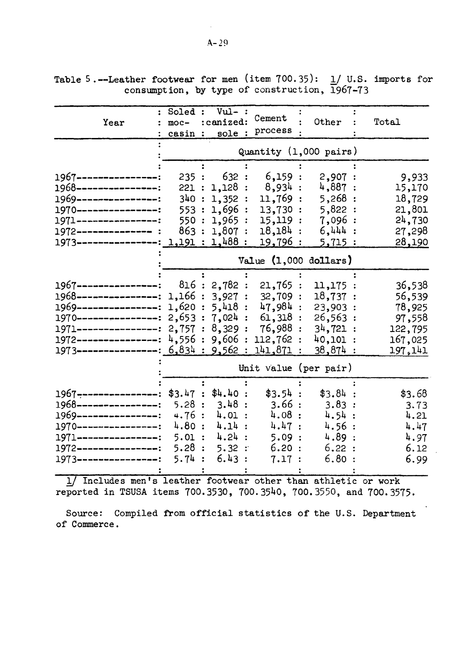Table 5.--Leather footwear for men (item 700.35):  $\frac{1}{1}$  U.S. imports for consumption, by type of construction,  $\overline{1}967-73$ 

| Year                                    | Soled<br>$moc-$<br>casin : |                     | $Vul -$ :<br>:canized:<br>sole: | Cement<br>process                | Other    |           | Total   |
|-----------------------------------------|----------------------------|---------------------|---------------------------------|----------------------------------|----------|-----------|---------|
|                                         |                            |                     |                                 | Quantity $(1,000 \text{ pairs})$ |          |           |         |
|                                         |                            |                     |                                 |                                  |          |           |         |
| 1967----------------                    | 235:                       |                     | 632 :                           | 6,159                            | 2,907    |           | 9,933   |
| 1968----------------:                   | 221:                       |                     | 1,128:                          | 8,934:                           | 4,887    | $\cdot$ : | 15,170  |
| 1969----------------:                   | 340:                       |                     | 1,352:                          | 11,769:                          | 5,268:   |           | 18,729  |
| 1970----------------:                   | 553:                       |                     | 1,696:                          | 13,730:                          | 5,822 :  |           | 21,801  |
| 1971----------------:                   | 550 :                      |                     | 1,965:                          | 15,119:                          | 7,096:   |           | 24,730  |
| 1972--------------                      | 863                        | $\ddot{\mathbf{z}}$ | 1,807 :                         | 18,184 :                         | 6,444    |           | 27,298  |
| $1973$ ----------------: 1,191 :        |                            |                     | 1,488:                          | 19,796:                          | 5,715:   |           | 28,190  |
|                                         |                            |                     |                                 | Value (1,000 dollars)            |          |           |         |
|                                         |                            |                     |                                 |                                  |          |           |         |
| 1967----------------:                   | 816                        |                     | 2,782:                          | 21,765:                          | 11,175   |           | 36,538  |
| 1968----------------:                   | 1,166                      | $\ddot{\mathbf{z}}$ | 3,927:                          | 32,709 :                         | 18,737 : |           | 56,539  |
| 1969----------------:                   | 1,620:                     |                     | 5,418:                          | 47,984:                          | 23,903:  |           | 78,925  |
| $1970$ ----------------: 2,653: 7,024:  |                            |                     |                                 | 61,318:                          | 26,563:  |           | 97,558  |
| 1971----------------:                   |                            |                     | 2,757 : 8,329 :                 | 76,988:                          | 34,721 : |           | 122,795 |
| $1972$ ---------------: 4,556 : 9,606 : |                            |                     |                                 | 112,762                          | 40,101   |           | 167,025 |
| $1973$ ----------------: $6,834:9,562:$ |                            |                     |                                 | 141,871                          | 38,874 : |           | 197.141 |
|                                         |                            |                     |                                 | Unit value (per pair)            |          |           |         |
|                                         |                            |                     |                                 |                                  |          |           |         |
| 1967-----------------                   | \$3.47                     |                     | \$4.40:                         | \$3.54:                          | \$3.84:  |           | \$3.68  |
| 1968----------------:                   | 5.28                       | $\ddot{\cdot}$      | 3.48:                           | 3.66:                            | 3.83     |           | 3.73    |
| 1969-----------------                   | 4.76                       | $\ddot{\cdot}$      | 4.01:                           | 4.08:                            | 4.54:    |           | 4.21    |
| 1970----------------:                   | 4.80:                      |                     | 4.14:                           | 4.47 :                           | 4.56     | $\cdot$   | 4.47    |
| 1971----------------:                   | 5.01:                      |                     | 4.24:                           | 5.09:                            | 4.89:    |           | 4.97    |
| 1972----------------:                   | 5.28:                      |                     | 5.32:                           | 6.20:                            | 6.22:    |           | 6.12    |
| 1973----------------:                   | 5.74                       |                     | 6.43                            | 7.17:                            | 6.80     |           | 6.99    |
|                                         |                            |                     |                                 |                                  |          |           |         |

1/ Includes men's leather footwear other than athletic or work reported in TSUSA items 700.3530, 700.3540, 700.3550, and 700.3575.

Source: Compiled from official statistics of the U.S. Department of Commerce.